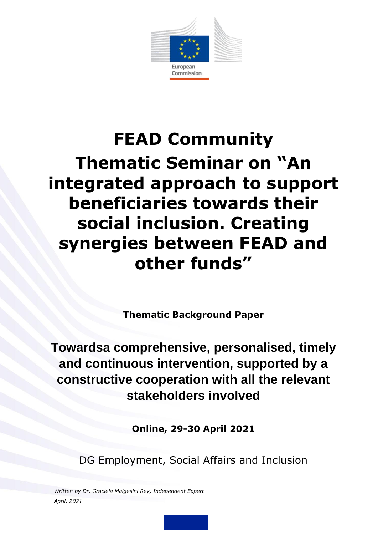

# **FEAD Community Thematic Seminar on "An integrated approach to support beneficiaries towards their social inclusion. Creating synergies between FEAD and other funds"**

**Thematic Background Paper**

**Towardsa comprehensive, personalised, timely and continuous intervention, supported by a constructive cooperation with all the relevant stakeholders involved**

**Online, 29-30 April 2021**

DG Employment, Social Affairs and Inclusion

*Written by Dr. Graciela Malgesini Rey, Independent Expert April, 2021*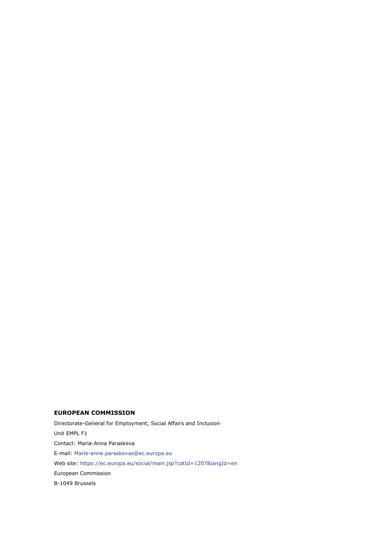#### **EUROPEAN COMMISSION**

Directorate-General for Employment, Social Affairs and Inclusion Unit EMPL F1 Contact: Maria-Anna Paraskeva E-mail: [Marie-anne.paraskevas@ec.europa.eu](mailto:Marie-anne.paraskevas@ec.europa.eu) Web site:<https://ec.europa.eu/social/main.jsp?catId=1207&langId=en> European Commission B-1049 Brussels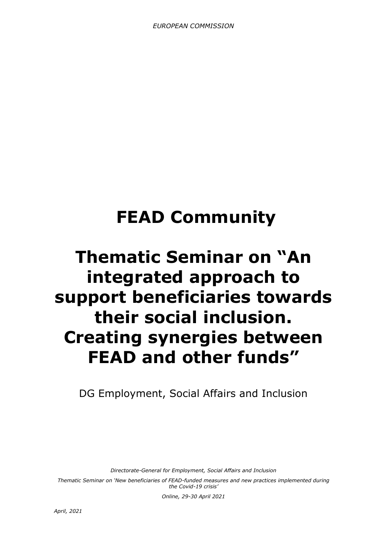# **FEAD Community**

# **Thematic Seminar on "An integrated approach to support beneficiaries towards their social inclusion. Creating synergies between FEAD and other funds"**

DG Employment, Social Affairs and Inclusion

*Directorate-General for Employment, Social Affairs and Inclusion*

*Thematic Seminar on 'New beneficiaries of FEAD-funded measures and new practices implemented during the Covid-19 crisis'*

*Online, 29-30 April 2021*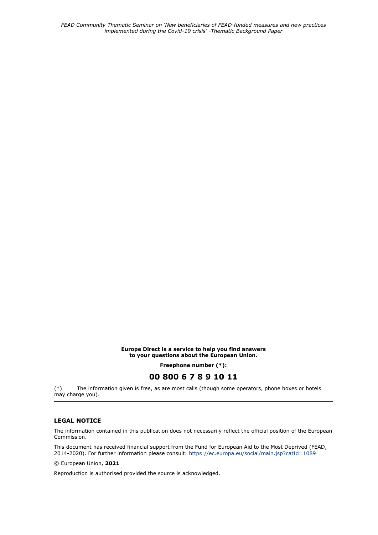#### **Europe Direct is a service to help you find answers to your questions about the European Union.**

**Freephone number (\*):**

#### **00 800 6 7 8 9 10 11**

(\*) The information given is free, as are most calls (though some operators, phone boxes or hotels may charge you).

#### **LEGAL NOTICE**

The information contained in this publication does not necessarily reflect the official position of the European Commission.

This document has received financial support from the Fund for European Aid to the Most Deprived (FEAD, 2014-2020). For further information please consult:<https://ec.europa.eu/social/main.jsp?catId=1089>

© European Union, **2021**

Reproduction is authorised provided the source is acknowledged.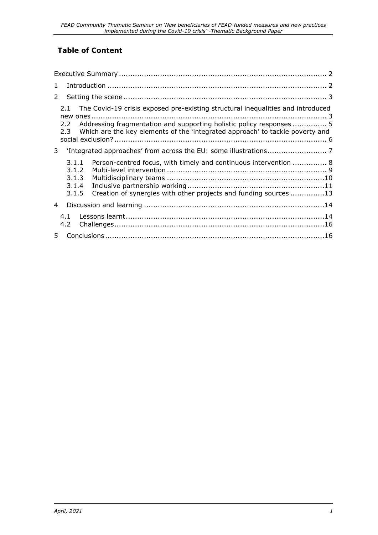## **Table of Content**

| $\mathbf{1}$   |                                           |  |                                                                                                                                                                                                                                          |  |
|----------------|-------------------------------------------|--|------------------------------------------------------------------------------------------------------------------------------------------------------------------------------------------------------------------------------------------|--|
| $\overline{2}$ |                                           |  |                                                                                                                                                                                                                                          |  |
|                | 2.1<br>2.2<br>2.3                         |  | The Covid-19 crisis exposed pre-existing structural inequalities and introduced<br>Addressing fragmentation and supporting holistic policy responses  5<br>Which are the key elements of the 'integrated approach' to tackle poverty and |  |
| 3 <sup>7</sup> |                                           |  |                                                                                                                                                                                                                                          |  |
|                | 3.1.1<br>3.1.2<br>3.1.3<br>3.1.4<br>3.1.5 |  | Person-centred focus, with timely and continuous intervention  8<br>Creation of synergies with other projects and funding sources 13                                                                                                     |  |
| $\overline{4}$ |                                           |  |                                                                                                                                                                                                                                          |  |
|                | 4.1<br>4.2                                |  |                                                                                                                                                                                                                                          |  |
| 5              |                                           |  |                                                                                                                                                                                                                                          |  |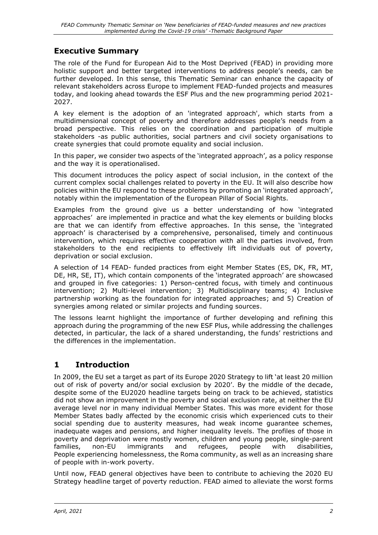## <span id="page-5-0"></span>**Executive Summary**

The role of the Fund for European Aid to the Most Deprived (FEAD) in providing more holistic support and better targeted interventions to address people's needs, can be further developed. In this sense, this Thematic Seminar can enhance the capacity of relevant stakeholders across Europe to implement FEAD-funded projects and measures today, and looking ahead towards the ESF Plus and the new programming period 2021- 2027.

A key element is the adoption of an 'integrated approach', which starts from a multidimensional concept of poverty and therefore addresses people's needs from a broad perspective. This relies on the coordination and participation of multiple stakeholders -as public authorities, social partners and civil society organisations to create synergies that could promote equality and social inclusion.

In this paper, we consider two aspects of the 'integrated approach', as a policy response and the way it is operationalised.

This document introduces the policy aspect of social inclusion, in the context of the current complex social challenges related to poverty in the EU. It will also describe how policies within the EU respond to these problems by promoting an 'integrated approach', notably within the implementation of the European Pillar of Social Rights.

Examples from the ground give us a better understanding of how 'integrated approaches' are implemented in practice and what the key elements or building blocks are that we can identify from effective approaches. In this sense, the 'integrated approach' is characterised by a comprehensive, personalised, timely and continuous intervention, which requires effective cooperation with all the parties involved, from stakeholders to the end recipients to effectively lift individuals out of poverty, deprivation or social exclusion.

A selection of 14 FEAD- funded practices from eight Member States (ES, DK, FR, MT, DE, HR, SE, IT), which contain components of the 'integrated approach' are showcased and grouped in five categories: 1) Person-centred focus, with timely and continuous intervention; 2) Multi-level intervention; 3) Multidisciplinary teams; 4) Inclusive partnership working as the foundation for integrated approaches; and 5) Creation of synergies among related or similar projects and funding sources.

The lessons learnt highlight the importance of further developing and refining this approach during the programming of the new ESF Plus, while addressing the challenges detected, in particular, the lack of a shared understanding, the funds' restrictions and the differences in the implementation.

## <span id="page-5-1"></span>**1 Introduction**

In 2009, the EU set a target as part of its Europe 2020 Strategy to lift 'at least 20 million out of risk of poverty and/or social exclusion by 2020'. By the middle of the decade, despite some of the EU2020 headline targets being on track to be achieved, statistics did not show an improvement in the poverty and social exclusion rate, at neither the EU average level nor in many individual Member States. This was more evident for those Member States badly affected by the economic crisis which experienced cuts to their social spending due to austerity measures, had weak income guarantee schemes, inadequate wages and pensions, and higher inequality levels. The profiles of those in poverty and deprivation were mostly women, children and young people, single-parent families, non-EU immigrants and refugees, people with disabilities, People experiencing homelessness, the Roma community, as well as an increasing share of people with in-work poverty.

Until now, FEAD general objectives have been to contribute to achieving the 2020 EU Strategy headline target of poverty reduction. FEAD aimed to alleviate the worst forms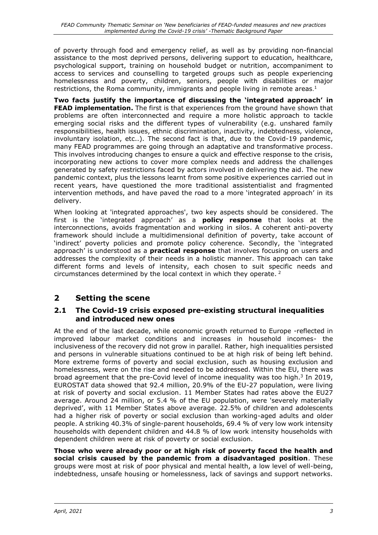of poverty through food and emergency relief, as well as by providing non-financial assistance to the most deprived persons, delivering support to education, healthcare, psychological support, training on household budget or nutrition, accompaniment to access to services and counselling to targeted groups such as people experiencing homelessness and poverty, children, seniors, people with disabilities or major restrictions, the Roma community, immigrants and people living in remote areas.<sup>1</sup>

**Two facts justify the importance of discussing the 'integrated approach' in FEAD implementation.** The first is that experiences from the ground have shown that problems are often interconnected and require a more holistic approach to tackle emerging social risks and the different types of vulnerability (e.g. unshared family responsibilities, health issues, ethnic discrimination, inactivity, indebtedness, violence, involuntary isolation, etc..). The second fact is that, due to the Covid-19 pandemic, many FEAD programmes are going through an adaptative and transformative process. This involves introducing changes to ensure a quick and effective response to the crisis, incorporating new actions to cover more complex needs and address the challenges generated by safety restrictions faced by actors involved in delivering the aid. The new pandemic context, plus the lessons learnt from some positive experiences carried out in recent years, have questioned the more traditional assistentialist and fragmented intervention methods, and have paved the road to a more 'integrated approach' in its delivery.

When looking at 'integrated approaches', two key aspects should be considered. The first is the 'integrated approach' as a **policy response** that looks at the interconnections, avoids fragmentation and working in silos. A coherent anti-poverty framework should include a multidimensional definition of poverty, take account of 'indirect' poverty policies and promote policy coherence. Secondly, the 'integrated approach' is understood as a **practical response** that involves focusing on users and addresses the complexity of their needs in a holistic manner. This approach can take different forms and levels of intensity, each chosen to suit specific needs and circumstances determined by the local context in which they operate.  $2$ 

## <span id="page-6-0"></span>**2 Setting the scene**

### <span id="page-6-1"></span>**2.1 The Covid-19 crisis exposed pre-existing structural inequalities and introduced new ones**

At the end of the last decade, while economic growth returned to Europe -reflected in improved labour market conditions and increases in household incomes- the inclusiveness of the recovery did not grow in parallel. Rather, high inequalities persisted and persons in vulnerable situations continued to be at high risk of being left behind. More extreme forms of poverty and social exclusion, such as housing exclusion and homelessness, were on the rise and needed to be addressed. Within the EU, there was broad agreement that the pre-Covid level of income inequality was too high. $3$  In 2019, EUROSTAT data showed that 92.4 million, 20.9% of the EU-27 population, were living at risk of poverty and social exclusion. 11 Member States had rates above the EU27 average. Around 24 million, or 5.4 % of the EU population, were 'severely materially deprived', with 11 Member States above average. 22.5% of children and adolescents had a higher risk of poverty or social exclusion than working-aged adults and older people. A striking 40.3% of single-parent households, 69.4 % of very low work intensity households with dependent children and 44.8 % of low work intensity households with dependent children were at risk of poverty or social exclusion.

**Those who were already poor or at high risk of poverty faced the health and social crisis caused by the pandemic from a disadvantaged position**. These groups were most at risk of poor physical and mental health, a low level of well-being, indebtedness, unsafe housing or homelessness, lack of savings and support networks.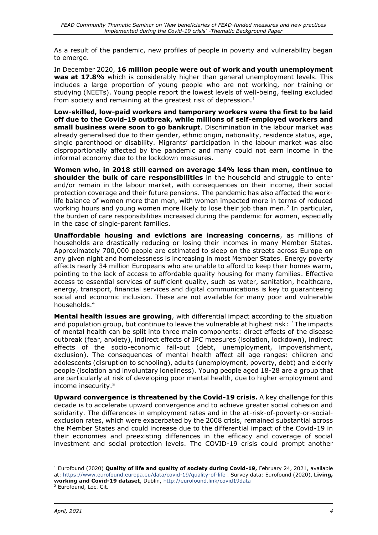As a result of the pandemic, new profiles of people in poverty and vulnerability began to emerge.

In December 2020, **16 million people were out of work and youth unemployment was at 17.8%** which is considerably higher than general unemployment levels. This includes a large proportion of young people who are not working, nor training or studying (NEETs). Young people report the lowest levels of well-being, feeling excluded from society and remaining at the greatest risk of depression. $<sup>1</sup>$ </sup>

**Low-skilled, low-paid workers and temporary workers were the first to be laid off due to the Covid-19 outbreak, while millions of self-employed workers and small business were soon to go bankrupt**. Discrimination in the labour market was already generalised due to their gender, ethnic origin, nationality, residence status, age, single parenthood or disability. Migrants' participation in the labour market was also disproportionally affected by the pandemic and many could not earn income in the informal economy due to the lockdown measures.

**Women who, in 2018 still earned on average 14% less than men, continue to shoulder the bulk of care responsibilities** in the household and struggle to enter and/or remain in the labour market, with consequences on their income, their social protection coverage and their future pensions. The pandemic has also affected the worklife balance of women more than men, with women impacted more in terms of reduced working hours and young women more likely to lose their job than men.<sup>2</sup> In particular, the burden of care responsibilities increased during the pandemic for women, especially in the case of single-parent families.

**Unaffordable housing and evictions are increasing concerns**, as millions of households are drastically reducing or losing their incomes in many Member States. Approximately 700,000 people are estimated to sleep on the streets across Europe on any given night and homelessness is increasing in most Member States. Energy poverty affects nearly 34 million Europeans who are unable to afford to keep their homes warm, pointing to the lack of access to affordable quality housing for many families. Effective access to essential services of sufficient quality, such as water, sanitation, healthcare, energy, transport, financial services and digital communications is key to guaranteeing social and economic inclusion. These are not available for many poor and vulnerable households.<sup>4</sup>

**Mental health issues are growing**, with differential impact according to the situation and population group, but continue to leave the vulnerable at highest risk: `The impacts of mental health can be split into three main components: direct effects of the disease outbreak (fear, anxiety), indirect effects of IPC measures (isolation, lockdown), indirect effects of the socio-economic fall-out (debt, unemployment, impoverishment, exclusion). The consequences of mental health affect all age ranges: children and adolescents (disruption to schooling), adults (unemployment, poverty, debt) and elderly people (isolation and involuntary loneliness). Young people aged 18-28 are a group that are particularly at risk of developing poor mental health, due to higher employment and income insecurity. 5

**Upward convergence is threatened by the Covid-19 crisis.** A key challenge for this decade is to accelerate upward convergence and to achieve greater social cohesion and solidarity. The differences in employment rates and in the at-risk-of-poverty-or-socialexclusion rates, which were exacerbated by the 2008 crisis, remained substantial across the Member States and could increase due to the differential impact of the Covid-19 in their economies and preexisting differences in the efficacy and coverage of social investment and social protection levels. The COVID-19 crisis could prompt another

<sup>1</sup> Eurofound (2020) **Quality of life and quality of society during Covid-19,** February 24, 2021, available at:<https://www.eurofound.europa.eu/data/covid-19/quality-of-life> . Survey data: Eurofound (2020), **Living, working and Covid-19 dataset**, Dublin, <http://eurofound.link/covid19data>

<sup>2</sup> Eurofound, Loc. Cit.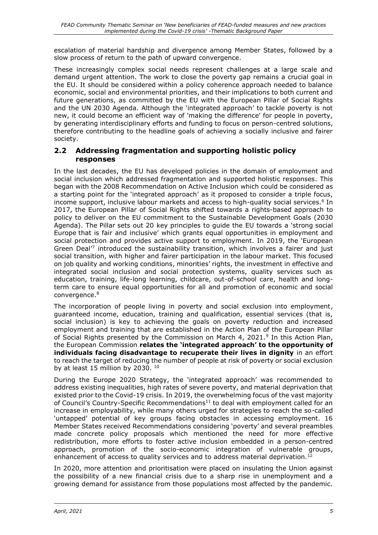escalation of material hardship and divergence among Member States, followed by a slow process of return to the path of upward convergence.

These increasingly complex social needs represent challenges at a large scale and demand urgent attention. The work to close the poverty gap remains a crucial goal in the EU. It should be considered within a policy coherence approach needed to balance economic, social and environmental priorities, and their implications to both current and future generations, as committed by the EU with the European Pillar of Social Rights and the UN 2030 Agenda. Although the 'integrated approach' to tackle poverty is not new, it could become an efficient way of 'making the difference' for people in poverty, by generating interdisciplinary efforts and funding to focus on person-centred solutions, therefore contributing to the headline goals of achieving a socially inclusive and fairer society.

#### <span id="page-8-0"></span>**2.2 Addressing fragmentation and supporting holistic policy responses**

In the last decades, the EU has developed policies in the domain of employment and social inclusion which addressed fragmentation and supported holistic responses. This began with the 2008 Recommendation on Active Inclusion which could be considered as a starting point for the 'integrated approach' as it proposed to consider a triple focus, income support, inclusive labour markets and access to high-quality social services. 6 In 2017, the European Pillar of Social Rights shifted towards a rights-based approach to policy to deliver on the EU commitment to the Sustainable Development Goals (2030 Agenda). The Pillar sets out 20 key principles to guide the EU towards a 'strong social Europe that is fair and inclusive' which grants equal opportunities in employment and social protection and provides active support to employment. In 2019, the 'European Green Deal<sup>7</sup> introduced the sustainability transition, which involves a fairer and just social transition, with higher and fairer participation in the labour market. This focused on job quality and working conditions, minorities' rights, the investment in effective and integrated social inclusion and social protection systems, quality services such as education, training, life-long learning, childcare, out-of-school care, health and longterm care to ensure equal opportunities for all and promotion of economic and social convergence. 8

The incorporation of people living in poverty and social exclusion into employment, guaranteed income, education, training and qualification, essential services (that is, social inclusion) is key to achieving the goals on poverty reduction and increased employment and training that are established in the Action Plan of the European Pillar of Social Rights presented by the Commission on March 4, 2021.<sup>9</sup> In this Action Plan, the European Commission **relates the 'integrated approach' to the opportunity of individuals facing disadvantage to recuperate their lives in dignity** in an effort to reach the target of reducing the number of people at risk of poverty or social exclusion by at least 15 million by 2030.  $10$ 

During the Europe 2020 Strategy, the 'integrated approach' was recommended to address existing inequalities, high rates of severe poverty, and material deprivation that existed prior to the Covid-19 crisis. In 2019, the overwhelming focus of the vast majority of Council's Country-Specific Recommendations $11$  to deal with employment called for an increase in employability, while many others urged for strategies to reach the so-called 'untapped' potential of key groups facing obstacles in accessing employment. 16 Member States received Recommendations considering 'poverty' and several preambles made concrete policy proposals which mentioned the need for more effective redistribution, more efforts to foster active inclusion embedded in a person-centred approach, promotion of the socio-economic integration of vulnerable groups, enhancement of access to quality services and to address material deprivation.<sup>12</sup>

In 2020, more attention and prioritisation were placed on insulating the Union against the possibility of a new financial crisis due to a sharp rise in unemployment and a growing demand for assistance from those populations most affected by the pandemic.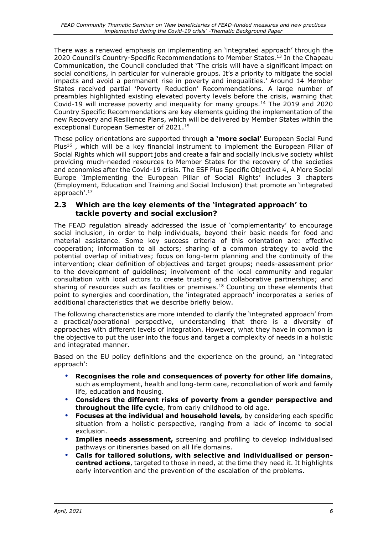There was a renewed emphasis on implementing an 'integrated approach' through the 2020 Council's Country-Specific Recommendations to Member States.<sup>13</sup> In the Chapeau Communication, the Council concluded that 'The crisis will have a significant impact on social conditions, in particular for vulnerable groups. It's a priority to mitigate the social impacts and avoid a permanent rise in poverty and inequalities.' Around 14 Member States received partial 'Poverty Reduction' Recommendations. A large number of preambles highlighted existing elevated poverty levels before the crisis, warning that Covid-19 will increase poverty and inequality for many groups.<sup>14</sup> The 2019 and 2020 Country Specific Recommendations are key elements guiding the implementation of the new Recovery and Resilience Plans, which will be delivered by Member States within the exceptional European Semester of 2021.<sup>15</sup>

These policy orientations are supported through **a 'more social'** European Social Fund Plus<sup>16</sup>, which will be a key financial instrument to implement the European Pillar of Social Rights which will support jobs and create a fair and socially inclusive society whilst providing much-needed resources to Member States for the recovery of the societies and economies after the Covid-19 crisis. The ESF Plus Specific Objective 4, A More Social Europe 'Implementing the European Pillar of Social Rights' includes 3 chapters (Employment, Education and Training and Social Inclusion) that promote an 'integrated approach'.<sup>17</sup>

#### <span id="page-9-0"></span>**2.3 Which are the key elements of the 'integrated approach' to tackle poverty and social exclusion?**

The FEAD regulation already addressed the issue of 'complementarity' to encourage social inclusion, in order to help individuals, beyond their basic needs for food and material assistance. Some key success criteria of this orientation are: effective cooperation; information to all actors; sharing of a common strategy to avoid the potential overlap of initiatives; focus on long-term planning and the continuity of the intervention; clear definition of objectives and target groups; needs-assessment prior to the development of guidelines; involvement of the local community and regular consultation with local actors to create trusting and collaborative partnerships; and sharing of resources such as facilities or premises.<sup>18</sup> Counting on these elements that point to synergies and coordination, the 'integrated approach' incorporates a series of additional characteristics that we describe briefly below.

The following characteristics are more intended to clarify the 'integrated approach' from a practical/operational perspective, understanding that there is a diversity of approaches with different levels of integration. However, what they have in common is the objective to put the user into the focus and target a complexity of needs in a holistic and integrated manner.

Based on the EU policy definitions and the experience on the ground, an 'integrated approach':

- **Recognises the role and consequences of poverty for other life domains**, such as employment, health and long-term care, reconciliation of work and family life, education and housing.
- **Considers the different risks of poverty from a gender perspective and throughout the life cycle**, from early childhood to old age.
- **Focuses at the individual and household levels,** by considering each specific situation from a holistic perspective, ranging from a lack of income to social exclusion.
- **Implies needs assessment,** screening and profiling to develop individualised pathways or itineraries based on all life domains.
- **Calls for tailored solutions, with selective and individualised or personcentred actions**, targeted to those in need, at the time they need it. It highlights early intervention and the prevention of the escalation of the problems.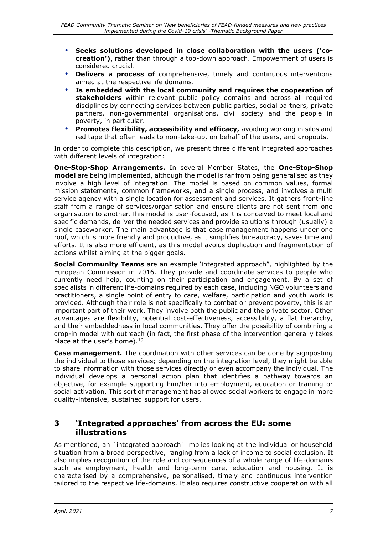- **Seeks solutions developed in close collaboration with the users ('cocreation')**, rather than through a top-down approach. Empowerment of users is considered crucial.
- **Delivers a process of** comprehensive, timely and continuous interventions aimed at the respective life domains.
- **Is embedded with the local community and requires the cooperation of stakeholders** within relevant public policy domains and across all required disciplines by connecting services between public parties, social partners, private partners, non-governmental organisations, civil society and the people in poverty, in particular.
- **Promotes flexibility, accessibility and efficacy,** avoiding working in silos and red tape that often leads to non-take-up, on behalf of the users, and dropouts.

In order to complete this description, we present three different integrated approaches with different levels of integration:

**One-Stop-Shop Arrangements.** In several Member States, the **One-Stop-Shop model** are being implemented, although the model is far from being generalised as they involve a high level of integration. The model is based on common values, formal mission statements, common frameworks, and a single process, and involves a multi service agency with a single location for assessment and services. It gathers front-line staff from a range of services/organisation and ensure clients are not sent from one organisation to another.This model is user-focused, as it is conceived to meet local and specific demands, deliver the needed services and provide solutions through (usually) a single caseworker. The main advantage is that case management happens under one roof, which is more friendly and productive, as it simplifies bureaucracy, saves time and efforts. It is also more efficient, as this model avoids duplication and fragmentation of actions whilst aiming at the bigger goals.

**Social Community Teams** are an example 'integrated approach", highlighted by the European Commission in 2016. They provide and coordinate services to people who currently need help, counting on their participation and engagement. By a set of specialists in different life-domains required by each case, including NGO volunteers and practitioners, a single point of entry to care, welfare, participation and youth work is provided. Although their role is not specifically to combat or prevent poverty, this is an important part of their work. They involve both the public and the private sector. Other advantages are flexibility, potential cost-effectiveness, accessibility, a flat hierarchy, and their embeddedness in local communities. They offer the possibility of combining a drop-in model with outreach (in fact, the first phase of the intervention generally takes place at the user's home).<sup>19</sup>

**Case management.** The coordination with other services can be done by signposting the individual to those services; depending on the integration level, they might be able to share information with those services directly or even accompany the individual. The individual develops a personal action plan that identifies a pathway towards an objective, for example supporting him/her into employment, education or training or social activation. This sort of management has allowed social workers to engage in more quality-intensive, sustained support for users.

### <span id="page-10-0"></span>**3 'Integrated approaches' from across the EU: some illustrations**

As mentioned, an `integrated approach´ implies looking at the individual or household situation from a broad perspective, ranging from a lack of income to social exclusion. It also implies recognition of the role and consequences of a whole range of life-domains such as employment, health and long-term care, education and housing. It is characterised by a comprehensive, personalised, timely and continuous intervention tailored to the respective life-domains. It also requires constructive cooperation with all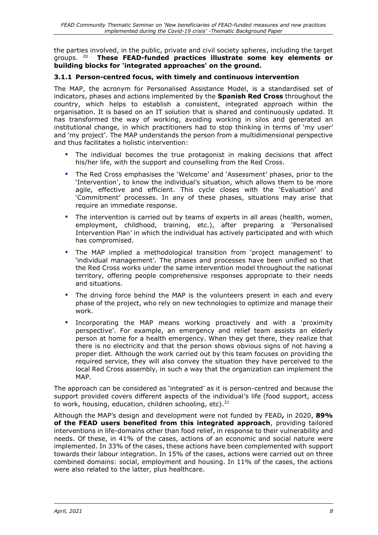the parties involved, in the public, private and civil society spheres, including the target aroups.  $20$ <sup>20</sup> **These FEAD-funded practices illustrate some key elements or building blocks for 'integrated approaches' on the ground.**

#### <span id="page-11-0"></span>**3.1.1 Person-centred focus, with timely and continuous intervention**

The MAP, the acronym for Personalised Assistance Model, is a standardised set of indicators, phases and actions implemented by the **Spanish Red Cross** throughout the country, which helps to establish a consistent, integrated approach within the organisation. It is based on an IT solution that is shared and continuously updated. It has transformed the way of working, avoiding working in silos and generated an institutional change, in which practitioners had to stop thinking in terms of 'my user' and 'my project'. The MAP understands the person from a multidimensional perspective and thus facilitates a holistic intervention:

- The individual becomes the true protagonist in making decisions that affect his/her life, with the support and counselling from the Red Cross.
- The Red Cross emphasises the 'Welcome' and 'Assessment' phases, prior to the 'Intervention', to know the individual's situation, which allows them to be more agile, effective and efficient. This cycle closes with the 'Evaluation' and 'Commitment' processes. In any of these phases, situations may arise that require an immediate response.
- The intervention is carried out by teams of experts in all areas (health, women, employment, childhood, training, etc.), after preparing a 'Personalised Intervention Plan' in which the individual has actively participated and with which has compromised.
- The MAP implied a methodological transition from 'project management' to 'individual management'. The phases and processes have been unified so that the Red Cross works under the same intervention model throughout the national territory, offering people comprehensive responses appropriate to their needs and situations.
- The driving force behind the MAP is the volunteers present in each and every phase of the project, who rely on new technologies to optimize and manage their work.
- Incorporating the MAP means working proactively and with a 'proximity perspective'. For example, an emergency and relief team assists an elderly person at home for a health emergency. When they get there, they realize that there is no electricity and that the person shows obvious signs of not having a proper diet. Although the work carried out by this team focuses on providing the required service, they will also convey the situation they have perceived to the local Red Cross assembly, in such a way that the organization can implement the MAP.

The approach can be considered as 'integrated' as it is person-centred and because the support provided covers different aspects of the individual's life (food support, access to work, housing, education, children schooling, etc).<sup>21</sup>

Although the MAP's design and development were not funded by FEAD**,** in 2020, **89% of the FEAD users benefited from this integrated approach**, providing tailored interventions in life-domains other than food relief, in response to their vulnerability and needs. Of these, in 41% of the cases, actions of an economic and social nature were implemented. In 33% of the cases, these actions have been complemented with support towards their labour integration. In 15% of the cases, actions were carried out on three combined domains: social, employment and housing. In 11% of the cases, the actions were also related to the latter, plus healthcare.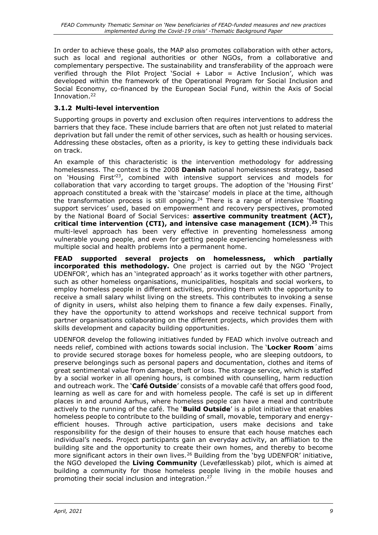In order to achieve these goals, the MAP also promotes collaboration with other actors, such as local and regional authorities or other NGOs, from a collaborative and complementary perspective. The sustainability and transferability of the approach were verified through the Pilot Project 'Social + Labor = Active Inclusion', which was developed within the framework of the Operational Program for Social Inclusion and Social Economy, co-financed by the European Social Fund, within the Axis of Social Innovation.<sup>22</sup>

### <span id="page-12-0"></span>**3.1.2 Multi-level intervention**

Supporting groups in poverty and exclusion often requires interventions to address the barriers that they face. These include barriers that are often not just related to material deprivation but fall under the remit of other services, such as health or housing services. Addressing these obstacles, often as a priority, is key to getting these individuals back on track.

An example of this characteristic is the intervention methodology for addressing homelessness. The context is the 2008 **Danish** national homelessness strategy, based on 'Housing First'<sup>23</sup>, combined with intensive support services and models for collaboration that vary according to target groups. The adoption of the 'Housing First' approach constituted a break with the 'staircase' models in place at the time, although the transformation process is still ongoing.<sup>24</sup> There is a range of intensive 'floating support services' used, based on empowerment and recovery perspectives, promoted by the National Board of Social Services: **assertive community treatment (ACT), critical time intervention (CTI), and intensive case management (ICM)**. **<sup>25</sup>** This multi-level approach has been very effective in preventing homelessness among vulnerable young people, and even for getting people experiencing homelessness with multiple social and health problems into a permanent home.

**FEAD supported several projects on homelessness, which partially incorporated this methodology.** One project is carried out by the NGO 'Project UDENFOR', which has an 'integrated approach' as it works together with other partners, such as other homeless organisations, municipalities, hospitals and social workers, to employ homeless people in different activities, providing them with the opportunity to receive a small salary whilst living on the streets. This contributes to invoking a sense of dignity in users, whilst also helping them to finance a few daily expenses. Finally, they have the opportunity to attend workshops and receive technical support from partner organisations collaborating on the different projects, which provides them with skills development and capacity building opportunities.

UDENFOR develop the following initiatives funded by FEAD which involve outreach and needs relief, combined with actions towards social inclusion. The '**Locker Room**´aims to provide secured storage boxes for homeless people, who are sleeping outdoors, to preserve belongings such as personal papers and documentation, clothes and items of great sentimental value from damage, theft or loss. The storage service, which is staffed by a social worker in all opening hours, is combined with counselling, harm reduction and outreach work. The '**Café Outside**' consists of a movable café that offers good food, learning as well as care for and with homeless people. The café is set up in different places in and around Aarhus, where homeless people can have a meal and contribute actively to the running of the café. The '**Build Outside**' is a pilot initiative that enables homeless people to contribute to the building of small, movable, temporary and energyefficient houses. Through active participation, users make decisions and take responsibility for the design of their houses to ensure that each house matches each individual's needs. Project participants gain an everyday activity, an affiliation to the building site and the opportunity to create their own homes, and thereby to become more significant actors in their own lives.<sup>26</sup> Building from the 'byg UDENFOR' initiative, the NGO developed the **Living Community** (Levefællesskab) pilot, which is aimed at building a community for those homeless people living in the mobile houses and promoting their social inclusion and integration.<sup>27</sup>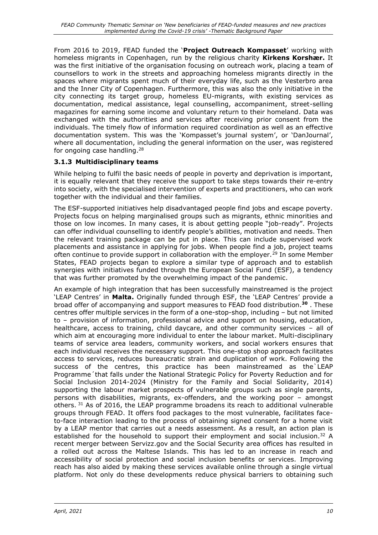From 2016 to 2019, FEAD funded the '**Project Outreach Kompasset**' working with homeless migrants in Copenhagen, run by the religious charity **Kirkens Korshær.** It was the first initiative of the organisation focusing on outreach work, placing a team of counsellors to work in the streets and approaching homeless migrants directly in the spaces where migrants spent much of their everyday life, such as the Vesterbro area and the Inner City of Copenhagen. Furthermore, this was also the only initiative in the city connecting its target group, homeless EU-migrants, with existing services as documentation, medical assistance, legal counselling, accompaniment, street-selling magazines for earning some income and voluntary return to their homeland. Data was exchanged with the authorities and services after receiving prior consent from the individuals. The timely flow of information required coordination as well as an effective documentation system. This was the 'Kompasset's journal system', or 'DanJournal', where all documentation, including the general information on the user, was registered for ongoing case handling.<sup>28</sup>

### <span id="page-13-0"></span>**3.1.3 Multidisciplinary teams**

While helping to fulfil the basic needs of people in poverty and deprivation is important, it is equally relevant that they receive the support to take steps towards their re-entry into society, with the specialised intervention of experts and practitioners, who can work together with the individual and their families.

The ESF-supported initiatives help disadvantaged people find jobs and escape poverty. Projects focus on helping marginalised groups such as migrants, ethnic minorities and those on low incomes. In many cases, it is about getting people "job-ready". Projects can offer individual counselling to identify people's abilities, motivation and needs. Then the relevant training package can be put in place. This can include supervised work placements and assistance in applying for jobs. When people find a job, project teams often continue to provide support in collaboration with the employer.<sup>29</sup> In some Member States, FEAD projects began to explore a similar type of approach and to establish synergies with initiatives funded through the European Social Fund (ESF), a tendency that was further promoted by the overwhelming impact of the pandemic.

An example of high integration that has been successfully mainstreamed is the project 'LEAP Centres' in **Malta.** Originally funded through ESF, the 'LEAP Centres' provide a broad offer of accompanying and support measures to FEAD food distribution.**<sup>30</sup>** . These centres offer multiple services in the form of a one-stop-shop, including – but not limited to – provision of information, professional advice and support on housing, education, healthcare, access to training, child daycare, and other community services – all of which aim at encouraging more individual to enter the labour market. Multi-disciplinary teams of service area leaders, community workers, and social workers ensures that each individual receives the necessary support. This one-stop shop approach facilitates access to services, reduces bureaucratic strain and duplication of work. Following the success of the centres, this practice has been mainstreamed as the`LEAP Programme´that falls under the National Strategic Policy for Poverty Reduction and for Social Inclusion 2014-2024 (Ministry for the Family and Social Solidarity, 2014) supporting the labour market prospects of vulnerable groups such as single parents, persons with disabilities, migrants, ex-offenders, and the working poor – amongst others. <sup>31</sup> As of 2016, the LEAP programme broadens its reach to additional vulnerable groups through FEAD. It offers food packages to the most vulnerable, facilitates faceto-face interaction leading to the process of obtaining signed consent for a home visit by a LEAP mentor that carries out a needs assessment. As a result, an action plan is established for the household to support their employment and social inclusion.<sup>32</sup> A recent merger between Servizz.gov and the Social Security area offices has resulted in a rolled out across the Maltese Islands. This has led to an increase in reach and accessibility of social protection and social inclusion benefits or services. Improving reach has also aided by making these services available online through a single virtual platform. Not only do these developments reduce physical barriers to obtaining such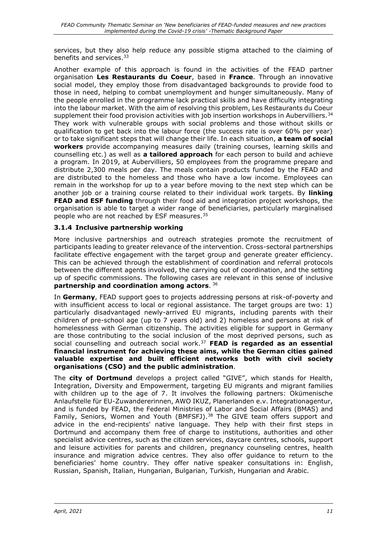services, but they also help reduce any possible stigma attached to the claiming of benefits and services.<sup>33</sup>

Another example of this approach is found in the activities of the FEAD partner organisation **Les Restaurants du Coeur**, based in **France**. Through an innovative social model, they employ those from disadvantaged backgrounds to provide food to those in need, helping to combat unemployment and hunger simultaneously. Many of the people enrolled in the programme lack practical skills and have difficulty integrating into the labour market. With the aim of resolving this problem, Les Restaurants du Coeur supplement their food provision activities with job insertion workshops in Aubervilliers.<sup>34</sup> They work with vulnerable groups with social problems and those without skills or qualification to get back into the labour force (the success rate is over 60% per year) or to take significant steps that will change their life. In each situation, **a team of social workers** provide accompanying measures daily (training courses, learning skills and counselling etc.) as well as **a tailored approach** for each person to build and achieve a program. In 2019, at Aubervilliers, 50 employees from the programme prepare and distribute 2,300 meals per day. The meals contain products funded by the FEAD and are distributed to the homeless and those who have a low income. Employees can remain in the workshop for up to a year before moving to the next step which can be another job or a training course related to their individual work targets. By **linking FEAD and ESF funding** through their food aid and integration project workshops, the organisation is able to target a wider range of beneficiaries, particularly marginalised people who are not reached by ESF measures.<sup>35</sup>

#### <span id="page-14-0"></span>**3.1.4 Inclusive partnership working**

More inclusive partnerships and outreach strategies promote the recruitment of participants leading to greater relevance of the intervention. Cross-sectoral partnerships facilitate effective engagement with the target group and generate greater efficiency. This can be achieved through the establishment of coordination and referral protocols between the different agents involved, the carrying out of coordination, and the setting up of specific commissions. The following cases are relevant in this sense of inclusive **partnership and coordination among actors**. 36

In **Germany**, FEAD support goes to projects addressing persons at risk-of-poverty and with insufficient access to local or regional assistance. The target groups are two: 1) particularly disadvantaged newly-arrived EU migrants, including parents with their children of pre-school age (up to 7 years old) and 2) homeless and persons at risk of homelessness with German citizenship. The activities eligible for support in Germany are those contributing to the social inclusion of the most deprived persons, such as social counselling and outreach social work.<sup>37</sup> **FEAD is regarded as an essential financial instrument for achieving these aims, while the German cities gained valuable expertise and built efficient networks both with civil society organisations (CSO) and the public administration**.

The **city of Dortmund** develops a project called "GIVE", which stands for Health, Integration, Diversity and Empowerment, targeting EU migrants and migrant families with children up to the age of 7. It involves the following partners: Okümenische Anlaufstelle für EU-Zuwandererinnen, AWO IKUZ, Planerlanden e.v. Integrationagentur, and is funded by FEAD, the Federal Ministries of Labor and Social Affairs (BMAS) and Family, Seniors, Women and Youth (BMFSFJ).<sup>38</sup> The GIVE team offers support and advice in the end-recipients' native language. They help with their first steps in Dortmund and accompany them free of charge to institutions, authorities and other specialist advice centres, such as the citizen services, daycare centres, schools, support and leisure activities for parents and children, pregnancy counseling centres, health insurance and migration advice centres. They also offer guidance to return to the beneficiaries' home country. They offer native speaker consultations in: English, Russian, Spanish, Italian, Hungarian, Bulgarian, Turkish, Hungarian and Arabic.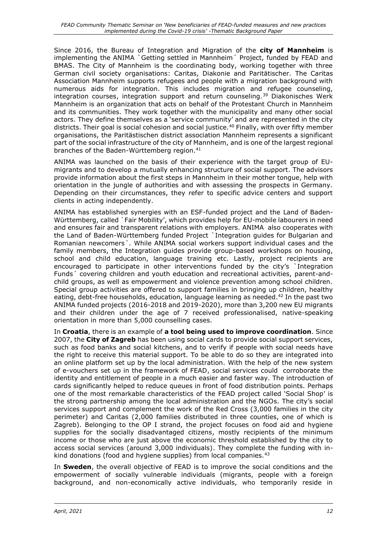Since 2016, the Bureau of Integration and Migration of the **city of Mannheim** is implementing the ANIMA `Getting settled in Mannheim´ Project, funded by FEAD and BMAS. The City of Mannheim is the coordinating body, working together with three German civil society organisations: Caritas, Diakonie and Paritätischer. The Caritas Association Mannheim supports refugees and people with a migration background with numerous aids for integration. This includes migration and refugee counseling, integration courses, integration support and return counseling.<sup>39</sup> Diakonisches Werk Mannheim is an organization that acts on behalf of the Protestant Church in Mannheim and its communities. They work together with the municipality and many other social actors. They define themselves as a 'service community' and are represented in the city districts. Their goal is social cohesion and social justice.<sup>40</sup> Finally, with over fifty member organisations, the Paritästischen district association Mannheim represents a significant part of the social infrastructure of the city of Mannheim, and is one of the largest regional branches of the Baden-Württemberg region.<sup>41</sup>

ANIMA was launched on the basis of their experience with the target group of EUmigrants and to develop a mutually enhancing structure of social support. The advisors provide information about the first steps in Mannheim in their mother tongue, help with orientation in the jungle of authorities and with assessing the prospects in Germany. Depending on their circumstances, they refer to specific advice centers and support clients in acting independently.

ANIMA has established synergies with an ESF-funded project and the Land of Baden-Württemberg, called `Fair Mobility', which provides help for EU-mobile labourers in need and ensures fair and transparent relations with employers. ANIMA also cooperates with the Land of Baden-Württemberg funded Project `Integration guides for Bulgarian and Romanian newcomers´. While ANIMA social workers support individual cases and the family members, the Integration guides provide group-based workshops on housing, school and child education, language training etc. Lastly, project recipients are encouraged to participate in other interventions funded by the city's Integration Funds´ covering children and youth education and recreational activities, parent-andchild groups, as well as empowerment and violence prevention among school children. Special group activities are offered to support families in bringing up children, healthy eating, debt-free households, education, language learning as needed.<sup>42</sup> In the past two ANIMA funded projects (2016-2018 and 2019-2020), more than 3,200 new EU migrants and their children under the age of 7 received professionalised, native-speaking orientation in more than 5,000 counselling cases.

In **Croatia**, there is an example of **a tool being used to improve coordination**. Since 2007, the **City of Zagreb** has been using social cards to provide social support services, such as food banks and social kitchens, and to verify if people with social needs have the right to receive this material support. To be able to do so they are integrated into an online platform set up by the local administration. With the help of the new system of e-vouchers set up in the framework of FEAD, social services could corroborate the identity and entitlement of people in a much easier and faster way. The introduction of cards significantly helped to reduce queues in front of food distribution points. Perhaps one of the most remarkable characteristics of the FEAD project called 'Social Shop' is the strong partnership among the local administration and the NGOs. The city's social services support and complement the work of the Red Cross (3,000 families in the city perimeter) and Caritas (2,000 families distributed in three counties, one of which is Zagreb). Belonging to the OP I strand, the project focuses on food aid and hygiene supplies for the socially disadvantaged citizens, mostly recipients of the minimum income or those who are just above the economic threshold established by the city to access social services (around 3,000 individuals). They complete the funding with inkind donations (food and hygiene supplies) from local companies.<sup>43</sup>

In **Sweden**, the overall objective of FEAD is to improve the social conditions and the empowerment of socially vulnerable individuals (migrants, people with a foreign background, and non-economically active individuals, who temporarily reside in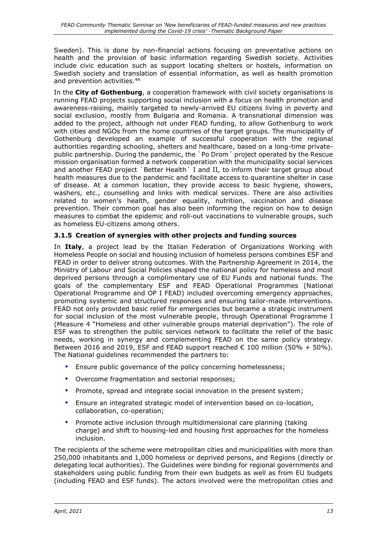Sweden). This is done by non-financial actions focusing on preventative actions on health and the provision of basic information regarding Swedish society. Activities include civic education such as support locating shelters or hostels, information on Swedish society and translation of essential information, as well as health promotion and prevention activities.<sup>44</sup>

In the **City of Gothenburg**, a cooperation framework with civil society organisations is running FEAD projects supporting social inclusion with a focus on health promotion and awareness-raising, mainly targeted to newly-arrived EU citizens living in poverty and social exclusion, mostly from Bulgaria and Romania. A transnational dimension was added to the project, although not under FEAD funding, to allow Gothenburg to work with cities and NGOs from the home countries of the target groups. The municipality of Gothenburg developed an example of successful cooperation with the regional authorities regarding schooling, shelters and healthcare, based on a long-time privatepublic partnership. During the pandemic, the `Po Drom´ project operated by the Rescue mission organisation formed a network cooperation with the municipality social services and another FEAD project `Better Health' I and II, to inform their target group about health measures due to the pandemic and facilitate access to quarantine shelter in case of disease. At a common location, they provide access to basic hygiene, showers, washers, etc., counselling and links with medical services. There are also activities related to women's health, gender equality, nutrition, vaccination and disease prevention. Their common goal has also been informing the region on how to design measures to combat the epidemic and roll-out vaccinations to vulnerable groups, such as homeless EU-citizens among others.

### <span id="page-16-0"></span>**3.1.5 Creation of synergies with other projects and funding sources**

In **Italy**, a project lead by the Italian Federation of Organizations Working with Homeless People on social and housing inclusion of homeless persons combines ESF and FEAD in order to deliver strong outcomes. With the Partnership Agreement in 2014, the Ministry of Labour and Social Policies shaped the national policy for homeless and most deprived persons through a complimentary use of EU Funds and national funds. The goals of the complementary ESF and FEAD Operational Programmes (National Operational Programme and OP I FEAD) included overcoming emergency approaches, promoting systemic and structured responses and ensuring tailor-made interventions. FEAD not only provided basic relief for emergencies but became a strategic instrument for social inclusion of the most vulnerable people, through Operational Programme I (Measure 4 "Homeless and other vulnerable groups material deprivation"). The role of ESF was to strengthen the public services network to facilitate the relief of the basic needs, working in synergy and complementing FEAD on the same policy strategy. Between 2016 and 2019, ESF and FEAD support reached  $\epsilon$  100 million (50% + 50%). The National guidelines recommended the partners to:

- Ensure public governance of the policy concerning homelessness;
- Overcome fragmentation and sectorial responses;
- Promote, spread and integrate social innovation in the present system;
- Ensure an integrated strategic model of intervention based on co-location, collaboration, co-operation;
- Promote active inclusion through multidimensional care planning (taking charge) and shift to housing-led and housing first approaches for the homeless inclusion.

The recipients of the scheme were metropolitan cities and municipalities with more than 250,000 inhabitants and 1,000 homeless or deprived persons, and Regions (directly or delegating local authorities). The Guidelines were binding for regional governments and stakeholders using public funding from their own budgets as well as from EU budgets (including FEAD and ESF funds). The actors involved were the metropolitan cities and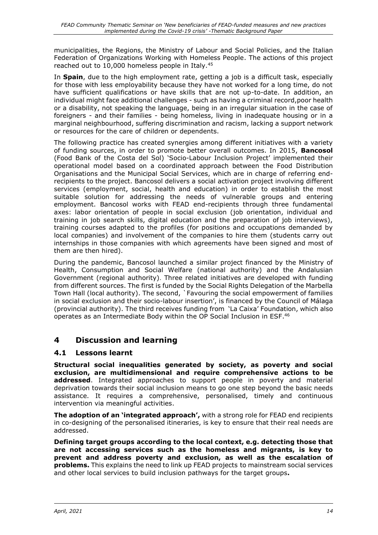municipalities, the Regions, the Ministry of Labour and Social Policies, and the Italian Federation of Organizations Working with Homeless People. The actions of this project reached out to 10,000 homeless people in Italy.<sup>45</sup>

In **Spain**, due to the high employment rate, getting a job is a difficult task, especially for those with less employability because they have not worked for a long time, do not have sufficient qualifications or have skills that are not up-to-date. In addition, an individual might face additional challenges - such as having a criminal record,poor health or a disability, not speaking the language, being in an irregular situation in the case of foreigners - and their families - being homeless, living in inadequate housing or in a marginal neighbourhood, suffering discrimination and racism, lacking a support network or resources for the care of children or dependents.

The following practice has created synergies among different initiatives with a variety of funding sources, in order to promote better overall outcomes. In 2015, **Bancosol**  (Food Bank of the Costa del Sol) 'Socio-Labour Inclusion Project' implemented their operational model based on a coordinated approach between the Food Distribution Organisations and the Municipal Social Services, which are in charge of referring endrecipients to the project. Bancosol delivers a social activation project involving different services (employment, social, health and education) in order to establish the most suitable solution for addressing the needs of vulnerable groups and entering employment. Bancosol works with FEAD end-recipients through three fundamental axes: labor orientation of people in social exclusion (job orientation, individual and training in job search skills, digital education and the preparation of job interviews), training courses adapted to the profiles (for positions and occupations demanded by local companies) and involvement of the companies to hire them (students carry out internships in those companies with which agreements have been signed and most of them are then hired).

During the pandemic, Bancosol launched a similar project financed by the Ministry of Health, Consumption and Social Welfare (national authority) and the Andalusian Government (regional authority). Three related initiatives are developed with funding from different sources. The first is funded by the Social Rights Delegation of the Marbella Town Hall (local authority). The second, `Favouring the social empowerment of families in social exclusion and their socio-labour insertion', is financed by the Council of Málaga (provincial authority). The third receives funding from 'La Caixa' Foundation, which also operates as an Intermediate Body within the OP Social Inclusion in ESF.<sup>46</sup>

## <span id="page-17-0"></span>**4 Discussion and learning**

#### <span id="page-17-1"></span>**4.1 Lessons learnt**

**Structural social inequalities generated by society, as poverty and social exclusion, are multidimensional and require comprehensive actions to be addressed**. Integrated approaches to support people in poverty and material deprivation towards their social inclusion means to go one step beyond the basic needs assistance. It requires a comprehensive, personalised, timely and continuous intervention via meaningful activities.

**The adoption of an 'integrated approach',** with a strong role for FEAD end recipients in co-designing of the personalised itineraries, is key to ensure that their real needs are addressed.

**Defining target groups according to the local context, e.g. detecting those that are not accessing services such as the homeless and migrants, is key to prevent and address poverty and exclusion, as well as the escalation of problems.** This explains the need to link up FEAD projects to mainstream social services and other local services to build inclusion pathways for the target groups**.**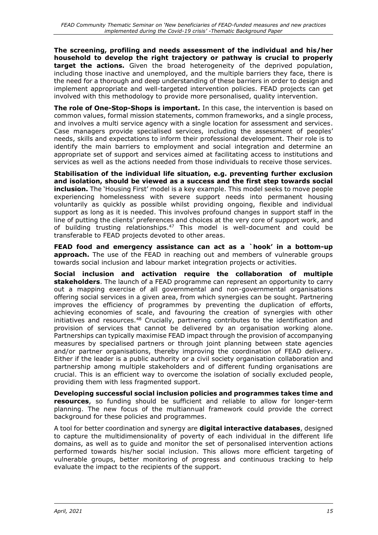**The screening, profiling and needs assessment of the individual and his/her household to develop the right trajectory or pathway is crucial to properly target the actions.** Given the broad heterogeneity of the deprived population, including those inactive and unemployed, and the multiple barriers they face, there is the need for a thorough and deep understanding of these barriers in order to design and implement appropriate and well-targeted intervention policies. FEAD projects can get involved with this methodology to provide more personalised, quality intervention.

**The role of One-Stop-Shops is important.** In this case, the intervention is based on common values, formal mission statements, common frameworks, and a single process, and involves a multi service agency with a single location for assessment and services. Case managers provide specialised services, including the assessment of peoples' needs, skills and expectations to inform their professional development. Their role is to identify the main barriers to employment and social integration and determine an appropriate set of support and services aimed at facilitating access to institutions and services as well as the actions needed from those individuals to receive those services.

**Stabilisation of the individual life situation, e.g. preventing further exclusion and isolation, should be viewed as a success and the first step towards social inclusion.** The 'Housing First' model is a key example. This model seeks to move people experiencing homelessness with severe support needs into permanent housing voluntarily as quickly as possible whilst providing ongoing, flexible and individual support as long as it is needed. This involves profound changes in support staff in the line of putting the clients' preferences and choices at the very core of support work, and of building trusting relationships. <sup>47</sup> This model is well-document and could be transferable to FEAD projects devoted to other areas.

**FEAD food and emergency assistance can act as a `hook' in a bottom-up approach.** The use of the FEAD in reaching out and members of vulnerable groups towards social inclusion and labour market integration projects or activities.

**Social inclusion and activation require the collaboration of multiple stakeholders**. The launch of a FEAD programme can represent an opportunity to carry out a mapping exercise of all governmental and non-governmental organisations offering social services in a given area, from which synergies can be sought. Partnering improves the efficiency of programmes by preventing the duplication of efforts, achieving economies of scale, and favouring the creation of synergies with other initiatives and resources.<sup>48</sup> Crucially, partnering contributes to the identification and provision of services that cannot be delivered by an organisation working alone. Partnerships can typically maximise FEAD impact through the provision of accompanying measures by specialised partners or through joint planning between state agencies and/or partner organisations, thereby improving the coordination of FEAD delivery. Either if the leader is a public authority or a civil society organisation collaboration and partnership among multiple stakeholders and of different funding organisations are crucial. This is an efficient way to overcome the isolation of socially excluded people, providing them with less fragmented support.

**Developing successful social inclusion policies and programmes takes time and resources**, so funding should be sufficient and reliable to allow for longer-term planning. The new focus of the multiannual framework could provide the correct background for these policies and programmes.

A tool for better coordination and synergy are **digital interactive databases**, designed to capture the multidimensionality of poverty of each individual in the different life domains, as well as to guide and monitor the set of personalised intervention actions performed towards his/her social inclusion. This allows more efficient targeting of vulnerable groups, better monitoring of progress and continuous tracking to help evaluate the impact to the recipients of the support.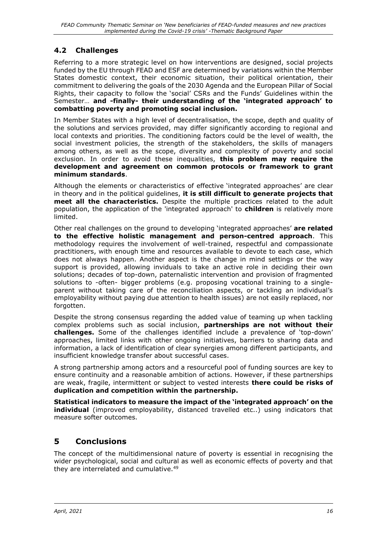## <span id="page-19-0"></span>**4.2 Challenges**

Referring to a more strategic level on how interventions are designed, social projects funded by the EU through FEAD and ESF are determined by variations within the Member States domestic context, their economic situation, their political orientation, their commitment to delivering the goals of the 2030 Agenda and the European Pillar of Social Rights, their capacity to follow the 'social' CSRs and the Funds' Guidelines within the Semester… **and -finally- their understanding of the 'integrated approach' to combatting poverty and promoting social inclusion.**

In Member States with a high level of decentralisation, the scope, depth and quality of the solutions and services provided, may differ significantly according to regional and local contexts and priorities. The conditioning factors could be the level of wealth, the social investment policies, the strength of the stakeholders, the skills of managers among others, as well as the scope, diversity and complexity of poverty and social exclusion. In order to avoid these inequalities, **this problem may require the development and agreement on common protocols or framework to grant minimum standards**.

Although the elements or characteristics of effective 'integrated approaches' are clear in theory and in the political guidelines, **it is still difficult to generate projects that meet all the characteristics.** Despite the multiple practices related to the adult population, the application of the 'integrated approach' to **children** is relatively more limited.

Other real challenges on the ground to developing 'integrated approaches' **are related to the effective holistic management and person-centred approach**. This methodology requires the involvement of well-trained, respectful and compassionate practitioners, with enough time and resources available to devote to each case, which does not always happen. Another aspect is the change in mind settings or the way support is provided, allowing inviduals to take an active role in deciding their own solutions; decades of top-down, paternalistic intervention and provision of fragmented solutions to -often- bigger problems (e.g. proposing vocational training to a singleparent without taking care of the reconciliation aspects, or tackling an individual's employability without paying due attention to health issues) are not easily replaced, nor forgotten.

Despite the strong consensus regarding the added value of teaming up when tackling complex problems such as social inclusion, **partnerships are not without their challenges.** Some of the challenges identified include a prevalence of 'top-down' approaches, limited links with other ongoing initiatives, barriers to sharing data and information, a lack of identification of clear synergies among different participants, and insufficient knowledge transfer about successful cases.

A strong partnership among actors and a resourceful pool of funding sources are key to ensure continuity and a reasonable ambition of actions. However, if these partnerships are weak, fragile, intermittent or subject to vested interests **there could be risks of duplication and competition within the partnership.**

**Statistical indicators to measure the impact of the 'integrated approach' on the individual** (improved employability, distanced travelled etc..) using indicators that measure softer outcomes.

## <span id="page-19-1"></span>**5 Conclusions**

The concept of the multidimensional nature of poverty is essential in recognising the wider psychological, social and cultural as well as economic effects of poverty and that they are interrelated and cumulative.<sup>49</sup>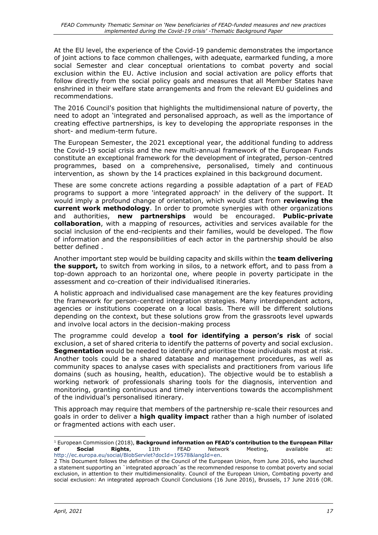At the EU level, the experience of the Covid-19 pandemic demonstrates the importance of joint actions to face common challenges, with adequate, earmarked funding, a more social Semester and clear conceptual orientations to combat poverty and social exclusion within the EU. Active inclusion and social activation are policy efforts that follow directly from the social policy goals and measures that all Member States have enshrined in their welfare state arrangements and from the relevant EU guidelines and recommendations.

The 2016 Council's position that highlights the multidimensional nature of poverty, the need to adopt an 'integrated and personalised approach, as well as the importance of creating effective partnerships, is key to developing the appropriate responses in the short- and medium-term future.

The European Semester, the 2021 exceptional year, the additional funding to address the Covid-19 social crisis and the new multi-annual framework of the European Funds constitute an exceptional framework for the development of integrated, person-centred programmes, based on a comprehensive, personalised, timely and continuous intervention, as shown by the 14 practices explained in this background document.

These are some concrete actions regarding a possible adaptation of a part of FEAD programs to support a more 'integrated approach' in the delivery of the support. It would imply a profound change of orientation, which would start from **reviewing the current work methodology**. In order to promote synergies with other organizations and authorities, **new partnerships** would be encouraged. **Public-private collaboration**, with a mapping of resources, activities and services available for the social inclusion of the end-recipients and their families, would be developed. The flow of information and the responsibilities of each actor in the partnership should be also better defined .

Another important step would be building capacity and skills within the **team delivering the support,** to switch from working in silos, to a network effort, and to pass from a top-down approach to an horizontal one, where people in poverty participate in the assessment and co-creation of their individualised itineraries.

A holistic approach and individualised case management are the key features providing the framework for person-centred integration strategies. Many interdependent actors, agencies or institutions cooperate on a local basis. There will be different solutions depending on the context, but these solutions grow from the grassroots level upwards and involve local actors in the decision-making process

The programme could develop a **tool for identifying a person's risk** of social exclusion, a set of shared criteria to identify the patterns of poverty and social exclusion. **Segmentation** would be needed to identify and prioritise those individuals most at risk. Another tools could be a shared database and management procedures, as well as community spaces to analyse cases with specialists and practitioners from various life domains (such as housing, health, education). The objective would be to establish a working network of professionals sharing tools for the diagnosis, intervention and monitoring, granting continuous and timely interventions towards the accomplishment of the individual's personalised itinerary.

This approach may require that members of the partnership re-scale their resources and goals in order to deliver a **high quality impact** rather than a high number of isolated or fragmented actions with each user.

<sup>1</sup> European Commission (2018), **Background information on FEAD's contribution to the European Pillar of Social Rights**, 11th FEAD Network Meeting, available at: [http://ec.europa.eu/social/BlobServlet?docId=19578&langId=en.](http://ec.europa.eu/social/BlobServlet?docId=19578&langId=en)

<sup>2</sup> This Document follows the definition of the Council of the European Union, from June 2016, who launched a statement supporting an `integrated approach´as the recommended response to combat poverty and social exclusion, in attention to their multidimensionality. Council of the European Union, Combating poverty and social exclusion: An integrated approach Council Conclusions (16 June 2016), Brussels, 17 June 2016 (OR.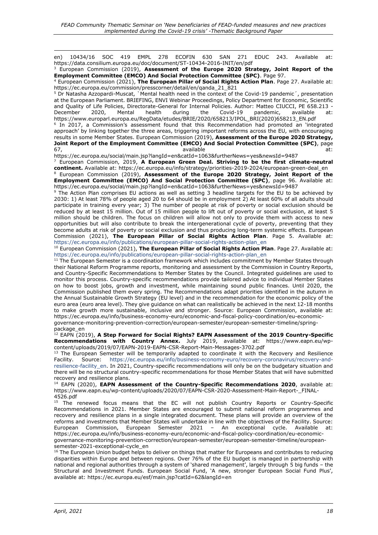en) 10434/16 SOC 419 EMPL 278 ECOFIN 630 SAN 271 EDUC 243. Available at: https://data.consilium.europa.eu/doc/document/ST-10434-2016-INIT/en/pdf

<sup>3</sup> European Commission (2019), **Assessment of the Europe 2020 Strategy, Joint Report of the Employment Committee (EMCO) And Social Protection Committee (SPC)**. Page 97.

<sup>4</sup> European Commission (2021), **The European Pillar of Social Rights Action Plan**. Page 27. Available at: https://ec.europa.eu/commission/presscorner/detail/en/qanda\_21\_821

<sup>5</sup> Dr Natasha Azzopardi-Muscat, `Mental health need in the context of the Covid-19 pandemic´, presentation at the European Parliament. BRIEFING, ENVI Webinar Proceedings, Policy Department for Economic, Scientific and Quality of Life Policies, Directorate-General for Internal Policies. Author: Matteo CIUCCI, PE 658.213 - December 2020, Mental health during the Covid-19 pandemic, available at: https://www.europarl.europa.eu/RegData/etudes/BRIE/2020/658213/IPOL\_BRI(2020)658213\_EN.pdf <sup>6</sup> In 2017, a Commission's assessment found that this Recommendation had promoted an 'integrated approach' by linking together the three areas, triggering important reforms across the EU, with encouraging

results in some Member States. European Commission (2019), **Assessment of the Europe 2020 Strategy, Joint Report of the Employment Committee (EMCO) And Social Protection Committee (SPC)**, page 67, available at:

https://ec.europa.eu/social/main.jsp?langId=en&catId=1063&furtherNews=yes&newsId=9487

<sup>7</sup> European Commission, 2019, **A European Green Deal. Striving to be the first climate-neutral continent.** Available at: https://ec.europa.eu/info/strategy/priorities-2019-2024/european-green-deal\_en

<sup>8</sup> European Commission (2019), **Assessment of the Europe 2020 Strategy, Joint Report of the Employment Committee (EMCO) And Social Protection Committee (SPC)**, page 96. Available at: https://ec.europa.eu/social/main.jsp?langId=en&catId=1063&furtherNews=yes&newsId=9487

<sup>9</sup> The Action Plan comprises EU actions as well as setting 3 headline targets for the EU to be achieved by 2030: 1) At least 78% of people aged 20 to 64 should be in employment 2) At least 60% of all adults should participate in training every year; 3) The number of people at risk of poverty or social exclusion should be reduced by at least 15 million. Out of 15 million people to lift out of poverty or social exclusion, at least 5 million should be children. The focus on children will allow not only to provide them with access to new opportunities but will also contribute to break the intergenerational cycle of poverty, preventing that they become adults at risk of poverty or social exclusion and thus producing long-term systemic effects. European Commission (2021), **The European Pillar of Social Rights Action Plan**. Page 5. Available at: [https://ec.europa.eu/info/publications/european-pillar-social-rights-action-plan\\_en](https://ec.europa.eu/info/publications/european-pillar-social-rights-action-plan_en)

<sup>10</sup> European Commission (2021), **The European Pillar of Social Rights Action Plan**. Page 27. Available at: [https://ec.europa.eu/info/publications/european-pillar-social-rights-action-plan\\_en](https://ec.europa.eu/info/publications/european-pillar-social-rights-action-plan_en)

 $11$  The European Semester is a coordination framework which includes commitment by Member States through their National Reform Programme reports, monitoring and assessment by the Commission in Country Reports, and Country-Specific Recommendations to Member States by the Council. Integrated guidelines are used to monitor this process. Country-specific recommendations provide tailored advice to individual Member States on how to boost jobs, growth and investment, while maintaining sound public finances. Until 2020, the Commission published them every spring. The Recommendations adapt priorities identified in the autumn in the Annual Sustainable Growth Strategy (EU level) and in the recommendation for the economic policy of the euro area (euro area level). They give guidance on what can realistically be achieved in the next 12-18 months to make growth more sustainable, inclusive and stronger. Source: European Commission, available at: https://ec.europa.eu/info/business-economy-euro/economic-and-fiscal-policy-coordination/eu-economicgovernance-monitoring-prevention-correction/european-semester/european-semester-timeline/springpackage\_en

<sup>12</sup> EAPN (2019), **A Step Forward for Social Rights? EAPN Assessment of the 2019 Country-Specific Recommendations with Country Annex.** July 2019, available at: https://www.eapn.eu/wpcontent/uploads/2019/07/EAPN-2019-EAPN-CSR-Report-Main-Messages-3702.pdf

<sup>13</sup> The European Semester will be temporarily adapted to coordinate it with the Recovery and Resilience<br>Facility. Source: https://ec.europa.eu/info/business-economy-euro/recovery-coronavirus/recovery-and-Facility. Source: [https://ec.europa.eu/info/business-economy-euro/recovery-coronavirus/recovery-and](https://ec.europa.eu/info/business-economy-euro/recovery-coronavirus/recovery-and-resilience-facility_en)[resilience-facility\\_en.](https://ec.europa.eu/info/business-economy-euro/recovery-coronavirus/recovery-and-resilience-facility_en) In 2021, Country-specific recommendations will only be on the budgetary situation and there will be no structural country-specific recommendations for those Member States that will have submitted recovery and resilience plans.

<sup>14</sup> EAPN (2020), **EAPN Assessment of the Country-Specific Recommendations 2020**, available at: https://www.eapn.eu/wp-content/uploads/2020/07/EAPN-CSR-2020-Assessment-Main-Report- FINAL-4526.pdf

<sup>15</sup> The renewed focus means that the EC will not publish Country Reports or Country-Specific Recommendations in 2021. Member States are encouraged to submit national reform programmes and recovery and resilience plans in a single integrated document. These plans will provide an overview of the reforms and investments that Member States will undertake in line with the objectives of the Facility. Source: European Commission, European Semester 2021 – An exceptional cycle. Available at: https://ec.europa.eu/info/business-economy-euro/economic-and-fiscal-policy-coordination/eu-economicgovernance-monitoring-prevention-correction/european-semester/european-semester-timeline/europeansemester-2021-exceptional-cycle\_en

 $16$  The European Union budget helps to deliver on things that matter for Europeans and contributes to reducing disparities within Europe and between regions. Over 76% of the EU budget is managed in partnership with national and regional authorities through a system of 'shared management', largely through 5 big funds – the Structural and Investment Funds. European Social Fund, 'A new, stronger European Social Fund Plus', available at: https://ec.europa.eu/esf/main.jsp?catId=62&langId=en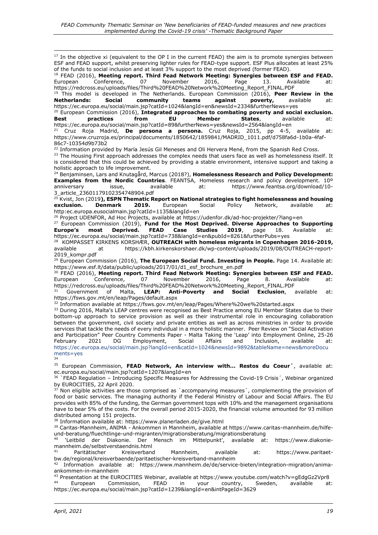<sup>17</sup> In the objective xi (equivalent to the OP I in the current FEAD) the aim is to promote synergies between ESF and FEAD support, whilst preserving lighter rules for FEAD-type support. ESF Plus allocates at least 25% of the funds to social inclusion and at least 3% support to the most deprived (former FEAD).

<sup>18</sup> FEAD (2016), **Meeting report. Third Fead Network Meeting: Synergies between ESF and FEAD.** European Conference, 07 November 2016, Page 13. Available at: https://redcross.eu/uploads/files/Third%20FEAD%20Network%20Meeting\_Report\_FINAL.PDF

<sup>19</sup> This model is developed in The Netherlands. European Commission (2016), **Peer Review in the Netherlands:** https://ec.europa.eu/social/main.jsp?catId=1024&langId=en&newsId=2334&furtherNews=yes

<sup>20</sup> European Commission (2016), **Integrated approaches to combating poverty and social exclusion. Best practices from EU Member States**, available at: https://ec.europa.eu/social/main.jsp?catId=89&furtherNews=yes&newsId=2564&langId=en

<sup>21</sup> Cruz Roja Madrid, **De persona a persona.** Cruz Roja, 2015, pp 4-5, available at: https://www.cruzroja.es/principal/documents/1850642/1859841/MADRID\_1011.pdf/d758fa6d-1b0a-4faf-86c7-10354d9b73b2

 $^{22}$  Information provided by María Jesús Gil Meneses and Oli Hervera Mené, from the Spanish Red Cross.

<sup>23</sup> The Housing First approach addresses the complex needs that users face as well as homelessness itself. It is considered that this could be achieved by providing a stable environment, intensive support and taking a holistic approach to life improvement.

<sup>24</sup> Benjaminsen, Lars and Knutagård, Marcus (2018?), **Homelessness Research and Policy Development: Examples from the Nordic Countries**. FEANTSA, Homeless research and policy development. 10º anniversary issue, available at: https://www.feantsa.org/download/10-3\_article\_23601179102354748904.pdf

<sup>25</sup> Kvist, Jon (2019**), ESPN Thematic Report on National strategies to fight homelessness and housing exclusion. Denmark 2019.** European Social Policy Network, available at: http:ec.europa.eusocialmain.jsp?catId=1135&langId=en

<sup>26</sup> Project UDENFOR, Ad Hoc Projects, available at https://udenfor.dk/ad-hoc-projekter/?lang=en

<sup>27</sup> European Commission (2019), **Fund for the Most Deprived. Diverse Approaches to Supporting Europe's most Deprived. FEAD Case Studies 2019**, page 18. Available at: https://ec.europa.eu/social/main.jsp?catId=738&langId=en&pubId=8261&furtherPubs=yes

28 KOMPASSET KIRKENS KORSHÆR, **OUTREACH with homeless migrants in Copenhagen 2016-2019,** available at https://kbh.kirkenskorshaer.dk/wp-content/uploads/2019/08/OUTREACH-report-2019\_kompr.pdf

<sup>29</sup> European Commission (2016), **The European Social Fund. Investing in People.** Page 14. Available at: https://www.esf.lt/data/public/uploads/2017/01/d1\_esf\_brochure\_en.pdf

<sup>30</sup> FEAD (2016), **Meeting report. Third Fead Network Meeting: Synergies between ESF and FEAD.** European Conference, 07 November 2016, Page 8. Available at:

https://redcross.eu/uploads/files/Third%20FEAD%20Network%20Meeting\_Report\_FINAL.PDF<br><sup>31</sup> Government of Malta, **LEAP: Anti-Poverty and Social Exclusion**, <sup>31</sup> Government of Malta, **LEAP: Anti-Poverty and Social Exclusion**, available at: https://fsws.gov.mt/en/leap/Pages/default.aspx

32 Information available at https://fsws.gov.mt/en/leap/Pages/Where%20we%20started.aspx

<sup>33</sup> During 2016, Malta's LEAP centres were recognised as Best Practice among EU Member States due to their bottom-up approach to service provision as well as their instrumental role in encouraging collaboration between the government, civil society and private entities as well as across ministries in order to provide services that tackle the needs of every individual in a more holistic manner. Peer Review on "Social Activation and Participation" Peer Country Comments Paper - Malta Taking the 'Leap' into Employment Online, 25-26<br>Februarv 2021 DG Employment, Social Affairs and Inclusion, available at: February 2021 DG Employment, Social Affairs and Inclusion, available at: [https://ec.europa.eu/social/main.jsp?langId=en&catId=1024&newsId=9892&tableName=news&moreDocu](https://ec.europa.eu/social/main.jsp?langId=en&catId=1024&newsId=9892&tableName=news&moreDocuments=yes) [ments=yes](https://ec.europa.eu/social/main.jsp?langId=en&catId=1024&newsId=9892&tableName=news&moreDocuments=yes)

34

<sup>35</sup> European Commission, **FEAD Network, An interview with... Restos du Coeur´**, available at: ec.europa.eu/social/main.jsp?catId=1207&langId=en

<sup>36</sup> `FEAD Regulation – Introducing Specific Measures for Addressing the Covid-19 Crisis', Webinar organized by EUROCITIES, 22 April 2020.

 $37$  Non eligible activities are those comprised as `accompanying measures', complementing the provision of food or basic services. The managing authority if the Federal Ministry of Labour and Social Affairs. The EU provides with 85% of the funding, the German government tops with 10% and the management organisations have to bear 5% of the costs. For the overall period 2015-2020, the financial volume amounted for 93 million distributed among 151 projects.

<sup>38</sup> Information available at: https://www.planerladen.de/give.html

<sup>39</sup> Caritas-Mannheim, ANIMA - Ankommen in Mannheim, available at https://www.caritas-mannheim.de/hilfeund-beratung/fluechtlinge-und-migranten/migrationsberatung/migrationsberatung

<sup>40</sup> 'Leitbild der Diakonie. Der Mensch im Mittelpunkt', available at: https://www.diakoniemannheim.de/selbstverstaendnis.html

Paritätischer Kreisverband Mannheim, available at: https://www.paritaetbw.de/regional/kreisverbaende/paritaetischer-kreisverband-mannheim

<sup>42</sup> Information available at: https://www.mannheim.de/de/service-bieten/integration-migration/animaankommen-in-mannheim

<sup>43</sup> Presentation at the EUROCITIES Webinar, available at https://www.youtube.com/watch?v=gEdgGz2Vpr8<br><sup>44</sup> European Commission EEAD in your country System available at European Commission, FEAD in your country, Sweden, available at:

https://ec.europa.eu/social/main.jsp?catId=1239&langId=en&intPageId=3629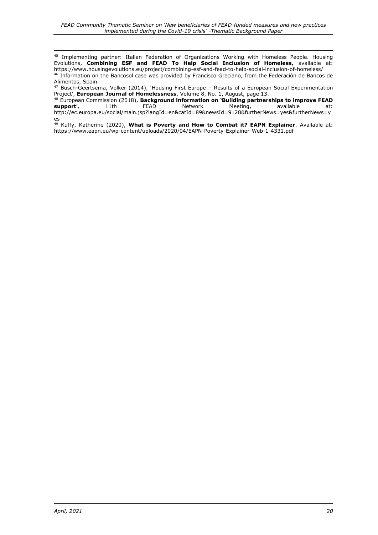<sup>45</sup> Implementing partner: Italian Federation of Organizations Working with Homeless People. Housing Evolutions, **Combining ESF and FEAD To Help Social Inclusion of Homeless,** available at: https://www.housingevolutions.eu/project/combining-esf-and-fead-to-help-social-inclusion-of-homeless/ <sup>46</sup> Information on the Bancosol case was provided by Francisco Greciano, from the Federación de Bancos de

Alimentos, Spain. <sup>47</sup> Busch-Geertsema, Volker (2014), 'Housing First Europe – Results of a European Social Experimentation Project', **European Journal of Homelessness**, Volume 8, No. 1, August, page 13.

<sup>48</sup> European Commission (2018), **Background information on 'Building partnerships to improve FEAD support'**, 11th FEAD Network Meeting, available at: http://ec.europa.eu/social/main.jsp?langId=en&catId=89&newsId=9128&furtherNews=yes&furtherNews=y es

<sup>49</sup> Kuffy, Katherine (2020), **What is Poverty and How to Combat it? EAPN Explainer**. Available at: https://www.eapn.eu/wp-content/uploads/2020/04/EAPN-Poverty-Explainer-Web-1-4331.pdf